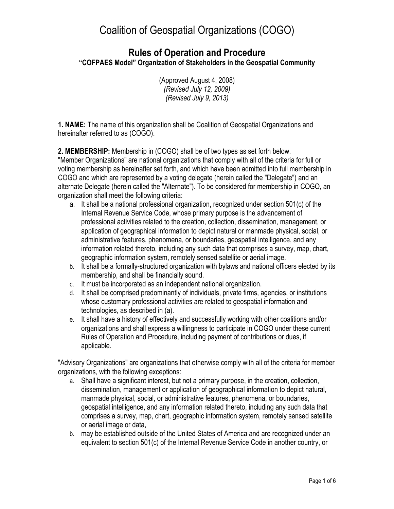### **Rules of Operation and Procedure "COFPAES Model" Organization of Stakeholders in the Geospatial Community**

(Approved August 4, 2008) *(Revised July 12, 2009) (Revised July 9, 2013)*

**1. NAME:** The name of this organization shall be Coalition of Geospatial Organizations and hereinafter referred to as (COGO).

**2. MEMBERSHIP:** Membership in (COGO) shall be of two types as set forth below.

"Member Organizations" are national organizations that comply with all of the criteria for full or voting membership as hereinafter set forth, and which have been admitted into full membership in COGO and which are represented by a voting delegate (herein called the "Delegate") and an alternate Delegate (herein called the "Alternate"). To be considered for membership in COGO, an organization shall meet the following criteria:

- a. It shall be a national professional organization, recognized under section 501(c) of the Internal Revenue Service Code, whose primary purpose is the advancement of professional activities related to the creation, collection, dissemination, management, or application of geographical information to depict natural or manmade physical, social, or administrative features, phenomena, or boundaries, geospatial intelligence, and any information related thereto, including any such data that comprises a survey, map, chart, geographic information system, remotely sensed satellite or aerial image.
- b. It shall be a formally-structured organization with bylaws and national officers elected by its membership, and shall be financially sound.
- c. It must be incorporated as an independent national organization.
- d. It shall be comprised predominantly of individuals, private firms, agencies, or institutions whose customary professional activities are related to geospatial information and technologies, as described in (a).
- e. It shall have a history of effectively and successfully working with other coalitions and/or organizations and shall express a willingness to participate in COGO under these current Rules of Operation and Procedure, including payment of contributions or dues, if applicable.

"Advisory Organizations" are organizations that otherwise comply with all of the criteria for member organizations, with the following exceptions:

- a. Shall have a significant interest, but not a primary purpose, in the creation, collection, dissemination, management or application of geographical information to depict natural, manmade physical, social, or administrative features, phenomena, or boundaries, geospatial intelligence, and any information related thereto, including any such data that comprises a survey, map, chart, geographic information system, remotely sensed satellite or aerial image or data,
- b. may be established outside of the United States of America and are recognized under an equivalent to section 501(c) of the Internal Revenue Service Code in another country, or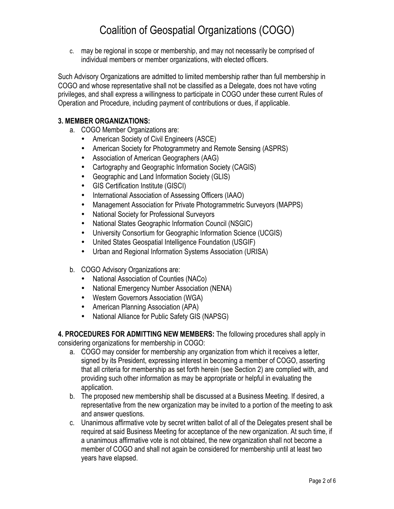c. may be regional in scope or membership, and may not necessarily be comprised of individual members or member organizations, with elected officers.

Such Advisory Organizations are admitted to limited membership rather than full membership in COGO and whose representative shall not be classified as a Delegate, does not have voting privileges, and shall express a willingness to participate in COGO under these current Rules of Operation and Procedure, including payment of contributions or dues, if applicable.

### **3. MEMBER ORGANIZATIONS:**

- a. COGO Member Organizations are:
	- American Society of Civil Engineers (ASCE)
	- American Society for Photogrammetry and Remote Sensing (ASPRS)
	- Association of American Geographers (AAG)
	- Cartography and Geographic Information Society (CAGIS)
	- Geographic and Land Information Society (GLIS)
	- GIS Certification Institute (GISCI)
	- International Association of Assessing Officers (IAAO)
	- Management Association for Private Photogrammetric Surveyors (MAPPS)
	- National Society for Professional Surveyors
	- National States Geographic Information Council (NSGIC)
	- University Consortium for Geographic Information Science (UCGIS)
	- United States Geospatial Intelligence Foundation (USGIF)
	- Urban and Regional Information Systems Association (URISA)
- b. COGO Advisory Organizations are:
	- National Association of Counties (NACo)
	- National Emergency Number Association (NENA)
	- Western Governors Association (WGA)
	- American Planning Association (APA)
	- National Alliance for Public Safety GIS (NAPSG)

**4. PROCEDURES FOR ADMITTING NEW MEMBERS:** The following procedures shall apply in considering organizations for membership in COGO:

- a. COGO may consider for membership any organization from which it receives a letter, signed by its President, expressing interest in becoming a member of COGO, asserting that all criteria for membership as set forth herein (see Section 2) are complied with, and providing such other information as may be appropriate or helpful in evaluating the application.
- b. The proposed new membership shall be discussed at a Business Meeting. If desired, a representative from the new organization may be invited to a portion of the meeting to ask and answer questions.
- c. Unanimous affirmative vote by secret written ballot of all of the Delegates present shall be required at said Business Meeting for acceptance of the new organization. At such time, if a unanimous affirmative vote is not obtained, the new organization shall not become a member of COGO and shall not again be considered for membership until at least two years have elapsed.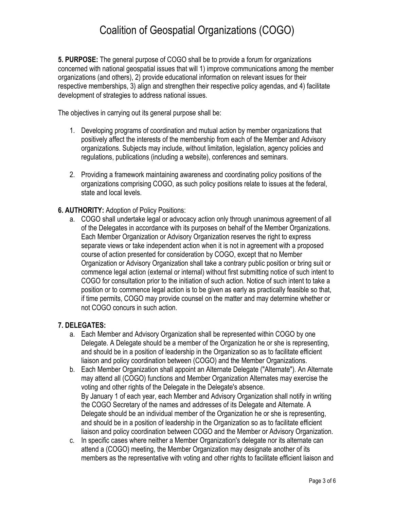**5. PURPOSE:** The general purpose of COGO shall be to provide a forum for organizations concerned with national geospatial issues that will 1) improve communications among the member organizations (and others), 2) provide educational information on relevant issues for their respective memberships, 3) align and strengthen their respective policy agendas, and 4) facilitate development of strategies to address national issues.

The objectives in carrying out its general purpose shall be:

- 1. Developing programs of coordination and mutual action by member organizations that positively affect the interests of the membership from each of the Member and Advisory organizations. Subjects may include, without limitation, legislation, agency policies and regulations, publications (including a website), conferences and seminars.
- 2. Providing a framework maintaining awareness and coordinating policy positions of the organizations comprising COGO, as such policy positions relate to issues at the federal, state and local levels.

#### **6. AUTHORITY:** Adoption of Policy Positions:

a. COGO shall undertake legal or advocacy action only through unanimous agreement of all of the Delegates in accordance with its purposes on behalf of the Member Organizations. Each Member Organization or Advisory Organization reserves the right to express separate views or take independent action when it is not in agreement with a proposed course of action presented for consideration by COGO, except that no Member Organization or Advisory Organization shall take a contrary public position or bring suit or commence legal action (external or internal) without first submitting notice of such intent to COGO for consultation prior to the initiation of such action. Notice of such intent to take a position or to commence legal action is to be given as early as practically feasible so that, if time permits, COGO may provide counsel on the matter and may determine whether or not COGO concurs in such action.

#### **7. DELEGATES:**

- a. Each Member and Advisory Organization shall be represented within COGO by one Delegate. A Delegate should be a member of the Organization he or she is representing, and should be in a position of leadership in the Organization so as to facilitate efficient liaison and policy coordination between (COGO) and the Member Organizations.
- b. Each Member Organization shall appoint an Alternate Delegate ("Alternate"). An Alternate may attend all (COGO) functions and Member Organization Alternates may exercise the voting and other rights of the Delegate in the Delegate's absence. By January 1 of each year, each Member and Advisory Organization shall notify in writing the COGO Secretary of the names and addresses of its Delegate and Alternate. A Delegate should be an individual member of the Organization he or she is representing, and should be in a position of leadership in the Organization so as to facilitate efficient liaison and policy coordination between COGO and the Member or Advisory Organization.
- c. In specific cases where neither a Member Organization's delegate nor its alternate can attend a (COGO) meeting, the Member Organization may designate another of its members as the representative with voting and other rights to facilitate efficient liaison and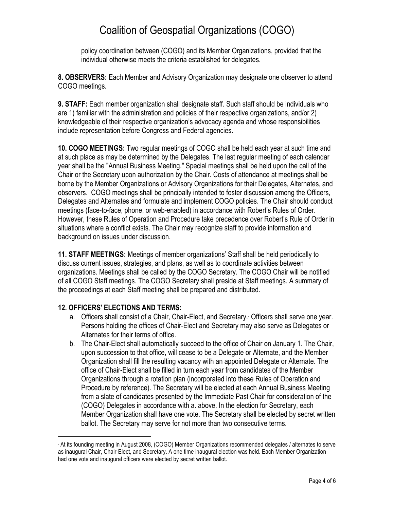policy coordination between (COGO) and its Member Organizations, provided that the individual otherwise meets the criteria established for delegates.

**8. OBSERVERS:** Each Member and Advisory Organization may designate one observer to attend COGO meetings.

**9. STAFF:** Each member organization shall designate staff. Such staff should be individuals who are 1) familiar with the administration and policies of their respective organizations, and/or 2) knowledgeable of their respective organization's advocacy agenda and whose responsibilities include representation before Congress and Federal agencies.

**10. COGO MEETINGS:** Two regular meetings of COGO shall be held each year at such time and at such place as may be determined by the Delegates. The last regular meeting of each calendar year shall be the "Annual Business Meeting." Special meetings shall be held upon the call of the Chair or the Secretary upon authorization by the Chair. Costs of attendance at meetings shall be borne by the Member Organizations or Advisory Organizations for their Delegates, Alternates, and observers. COGO meetings shall be principally intended to foster discussion among the Officers, Delegates and Alternates and formulate and implement COGO policies. The Chair should conduct meetings (face-to-face, phone, or web-enabled) in accordance with Robert's Rules of Order. However, these Rules of Operation and Procedure take precedence over Robert's Rule of Order in situations where a conflict exists. The Chair may recognize staff to provide information and background on issues under discussion.

**11. STAFF MEETINGS:** Meetings of member organizations' Staff shall be held periodically to discuss current issues, strategies, and plans, as well as to coordinate activities between organizations. Meetings shall be called by the COGO Secretary. The COGO Chair will be notified of all COGO Staff meetings. The COGO Secretary shall preside at Staff meetings. A summary of the proceedings at each Staff meeting shall be prepared and distributed.

### **12. OFFICERS' ELECTIONS AND TERMS:**

1

- a. Officers shall consist of a Chair, Chair-Elect, and Secretary.∙ Officers shall serve one year. Persons holding the offices of Chair-Elect and Secretary may also serve as Delegates or Alternates for their terms of office.
- b. The Chair-Elect shall automatically succeed to the office of Chair on January 1. The Chair, upon succession to that office, will cease to be a Delegate or Alternate, and the Member Organization shall fill the resulting vacancy with an appointed Delegate or Alternate. The office of Chair-Elect shall be filled in turn each year from candidates of the Member Organizations through a rotation plan (incorporated into these Rules of Operation and Procedure by reference). The Secretary will be elected at each Annual Business Meeting from a slate of candidates presented by the Immediate Past Chair for consideration of the (COGO) Delegates in accordance with a. above. In the election for Secretary, each Member Organization shall have one vote. The Secretary shall be elected by secret written ballot. The Secretary may serve for not more than two consecutive terms.

<sup>∗</sup> At its founding meeting in August 2008, (COGO) Member Organizations recommended delegates / alternates to serve as inaugural Chair, Chair-Elect, and Secretary. A one time inaugural election was held. Each Member Organization had one vote and inaugural officers were elected by secret written ballot.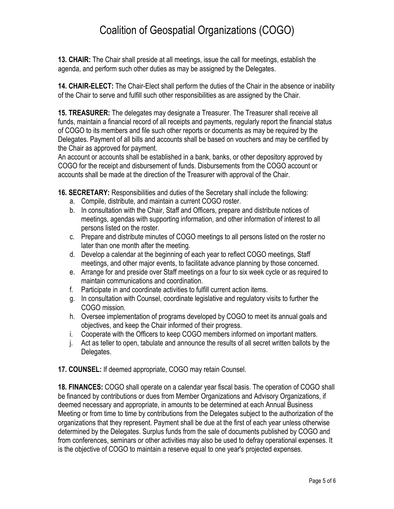**13. CHAIR:** The Chair shall preside at all meetings, issue the call for meetings, establish the agenda, and perform such other duties as may be assigned by the Delegates.

**14. CHAIR-ELECT:** The Chair-Elect shall perform the duties of the Chair in the absence or inability of the Chair to serve and fulfill such other responsibilities as are assigned by the Chair.

**15. TREASURER:** The delegates may designate a Treasurer. The Treasurer shall receive all funds, maintain a financial record of all receipts and payments, regularly report the financial status of COGO to its members and file such other reports or documents as may be required by the Delegates. Payment of all bills and accounts shall be based on vouchers and may be certified by the Chair as approved for payment.

An account or accounts shall be established in a bank, banks, or other depository approved by COGO for the receipt and disbursement of funds. Disbursements from the COGO account or accounts shall be made at the direction of the Treasurer with approval of the Chair.

**16. SECRETARY:** Responsibilities and duties of the Secretary shall include the following:

- a. Compile, distribute, and maintain a current COGO roster.
- b. In consultation with the Chair, Staff and Officers, prepare and distribute notices of meetings, agendas with supporting information, and other information of interest to all persons listed on the roster.
- c. Prepare and distribute minutes of COGO meetings to all persons listed on the roster no later than one month after the meeting.
- d. Develop a calendar at the beginning of each year to reflect COGO meetings, Staff meetings, and other major events, to facilitate advance planning by those concerned.
- e. Arrange for and preside over Staff meetings on a four to six week cycle or as required to maintain communications and coordination.
- f. Participate in and coordinate activities to fulfill current action items.
- g. In consultation with Counsel, coordinate legislative and regulatory visits to further the COGO mission.
- h. Oversee implementation of programs developed by COGO to meet its annual goals and objectives, and keep the Chair informed of their progress.
- i. Cooperate with the Officers to keep COGO members informed on important matters.
- j. Act as teller to open, tabulate and announce the results of all secret written ballots by the Delegates.
- **17. COUNSEL:** If deemed appropriate, COGO may retain Counsel.

**18. FINANCES:** COGO shall operate on a calendar year fiscal basis. The operation of COGO shall be financed by contributions or dues from Member Organizations and Advisory Organizations, if deemed necessary and appropriate, in amounts to be determined at each Annual Business Meeting or from time to time by contributions from the Delegates subject to the authorization of the organizations that they represent. Payment shall be due at the first of each year unless otherwise determined by the Delegates. Surplus funds from the sale of documents published by COGO and from conferences, seminars or other activities may also be used to defray operational expenses. It is the objective of COGO to maintain a reserve equal to one year's projected expenses.